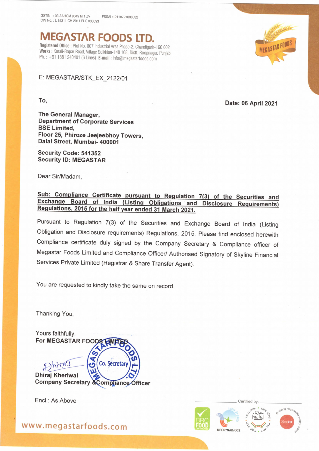GSTIN :03 AAHCM 9649 M 1 ZV FSSAI :12118721000032 CIN No. : L 15311 CH 2011 PLC 033393

<u>. A second department of the company of the company of the company of the company of the company of the company of the company of the company of the company of the company of the company of the company of the company of t</u>

**MEGASTAR FOODS LTD.**<br>Registered Office : Plot No. 807 Industrial Area Phase-2, Chandigarh-160 002

Works: Kurali-Ropar Road, Village Solkhian-140 108, Distt. Roopnagar, Punjab Ph. : +91 1881 240401 (6 Lines) E-mail : info@megastarfoods.com

E: MEGASTAR/STK\_EX\_2122/01

To, Date: 06 April <sup>2021</sup>

The General Manager, Department of Corporate Services BSE Limited, Floor 25, Phiroze Jeejeebhoy Towers, Dalal Street, Mumbai- 400001

Security Code: 541352 Security ID: MEGASTAR

Dear Sir/Madam,

## Sub: Compliance Certificate pursuant to Regulation 7(3) of the Securities and<br>Exchange Board of India (Listing Obligations and Disclosure Requirements)<br>Regulations, 2015 for the half year ended 31 March 2021.

Pursuant to Regulation 7(3) of the Securities and Exchange Board of India (Listing Obligation and Disclosure requirements) Regulations, 2015. Please find enclosed herewith Compliance certificate duly signed by the Company Secretary & Compliance officer of Megastar Foods Limited and Compliance Officer/ Authorised Signatory of Skyline Financial Services Private Limited (Registrar & Share Transfer Agent).

You are requested to kindly take the same on record.

Thanking You,



Encl.: As Above —\_\_\_\_\_\_\_\_\_\_\_\_ Certified by:



www.megastarfoods.com